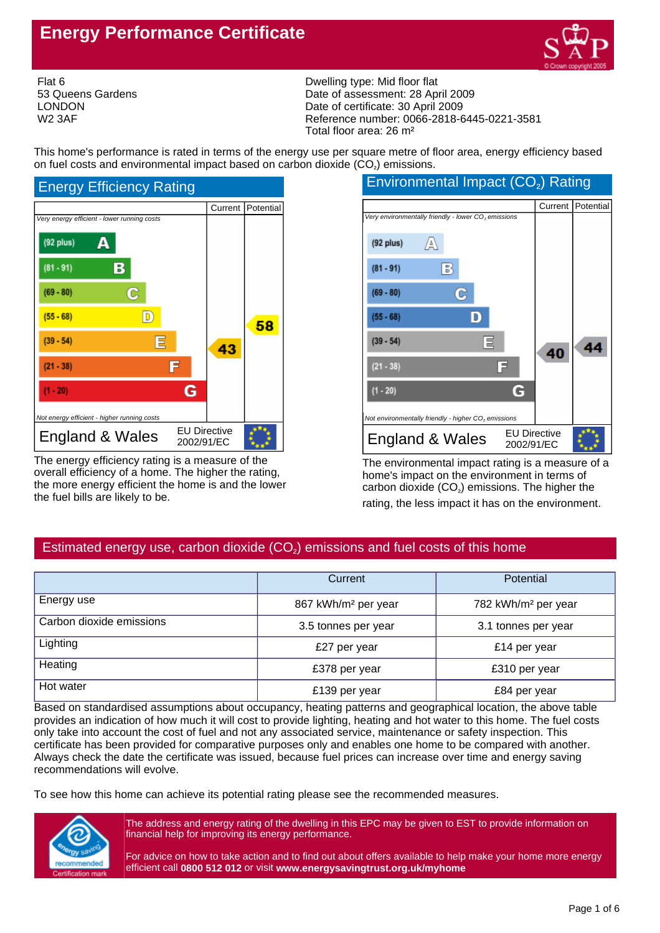# **Energy Performance Certificate**



Flat 6 53 Queens Gardens LONDON W2 3AF

Dwelling type: Mid floor flat Date of assessment: 28 April 2009 Date of certificate: 30 April 2009 Reference number: 0066-2818-6445-0221-3581 Total floor area: 26 m²

This home's performance is rated in terms of the energy use per square metre of floor area, energy efficiency based on fuel costs and environmental impact based on carbon dioxide  $(CO<sub>2</sub>)$  emissions.



The energy efficiency rating is a measure of the overall efficiency of a home. The higher the rating, the more energy efficient the home is and the lower the fuel bills are likely to be.

#### Current Potential Very environmentally friendly - lower CO<sub>2</sub> emissions  $(92$  plus) A  $(81 - 91)$ B Ċ.  $(69 - 80)$  $(55 - 68)$ D)  $(39 - 54)$ 亘 44 40  $(21 - 38)$ ョ  $(1 - 20)$ G Not environmentally friendly - higher CO<sub>2</sub> emissions England & Wales  $E_{2002/91/EC}$ 2002/91/EC

The environmental impact rating is a measure of a home's impact on the environment in terms of  $\mathsf{carbon}$  dioxide  $\mathsf{(CO_2)}$  emissions. The higher the rating, the less impact it has on the environment.

## Estimated energy use, carbon dioxide  $\left({\mathsf{CO}}_{\mathsf{2}}\right)$  emissions and fuel costs of this home

|                          | Current                         | <b>Potential</b>                |
|--------------------------|---------------------------------|---------------------------------|
| , Energy use             | 867 kWh/m <sup>2</sup> per year | 782 kWh/m <sup>2</sup> per year |
| Carbon dioxide emissions | 3.5 tonnes per year             | 3.1 tonnes per year             |
| Lighting                 | £27 per year                    | £14 per year                    |
| Heating                  | £378 per year                   | £310 per year                   |
| Hot water                | £139 per year                   | £84 per year                    |

Based on standardised assumptions about occupancy, heating patterns and geographical location, the above table provides an indication of how much it will cost to provide lighting, heating and hot water to this home. The fuel costs only take into account the cost of fuel and not any associated service, maintenance or safety inspection. This certificate has been provided for comparative purposes only and enables one home to be compared with another. Always check the date the certificate was issued, because fuel prices can increase over time and energy saving recommendations will evolve.

To see how this home can achieve its potential rating please see the recommended measures.



The address and energy rating of the dwelling in this EPC may be given to EST to provide information on financial help for improving its energy performance.

For advice on how to take action and to find out about offers available to help make your home more energy efficient call **0800 512 012** or visit **www.energysavingtrust.org.uk/myhome**

# Environmental Impact (CO<sub>2</sub>) Rating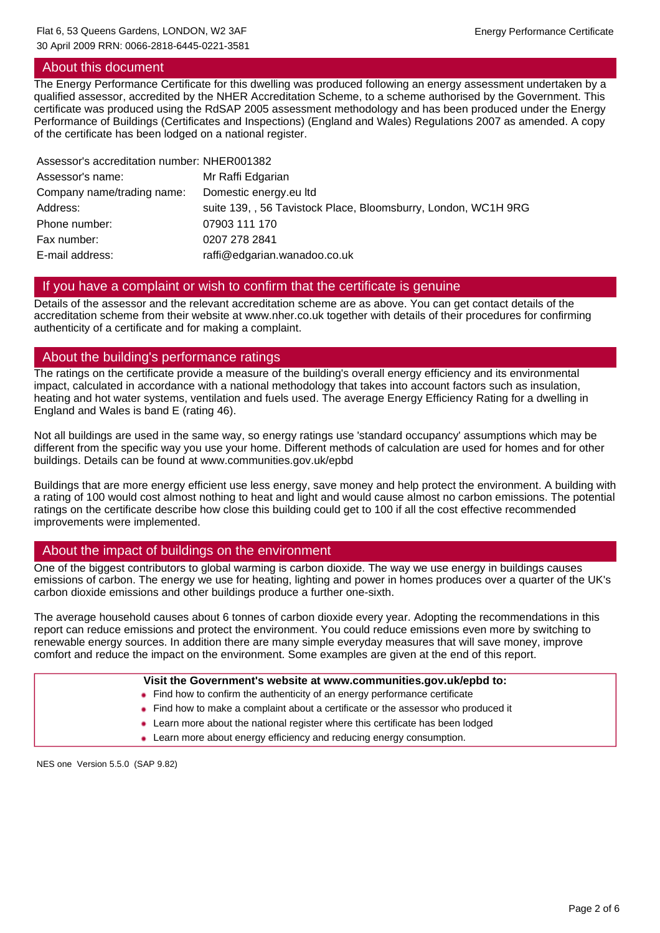## About this document

The Energy Performance Certificate for this dwelling was produced following an energy assessment undertaken by a qualified assessor, accredited by the NHER Accreditation Scheme, to a scheme authorised by the Government. This certificate was produced using the RdSAP 2005 assessment methodology and has been produced under the Energy Performance of Buildings (Certificates and Inspections) (England and Wales) Regulations 2007 as amended. A copy of the certificate has been lodged on a national register.

| Assessor's accreditation number: NHER001382 |                                                                |
|---------------------------------------------|----------------------------------------------------------------|
| Assessor's name:                            | Mr Raffi Edgarian                                              |
| Company name/trading name:                  | Domestic energy.eu Itd                                         |
| Address:                                    | suite 139, , 56 Tavistock Place, Bloomsburry, London, WC1H 9RG |
| Phone number:                               | 07903 111 170                                                  |
| Fax number:                                 | 0207 278 2841                                                  |
| E-mail address:                             | raffi@edgarian.wanadoo.co.uk                                   |

## If you have a complaint or wish to confirm that the certificate is genuine

Details of the assessor and the relevant accreditation scheme are as above. You can get contact details of the accreditation scheme from their website at www.nher.co.uk together with details of their procedures for confirming authenticity of a certificate and for making a complaint.

#### About the building's performance ratings

The ratings on the certificate provide a measure of the building's overall energy efficiency and its environmental impact, calculated in accordance with a national methodology that takes into account factors such as insulation, heating and hot water systems, ventilation and fuels used. The average Energy Efficiency Rating for a dwelling in England and Wales is band E (rating 46).

Not all buildings are used in the same way, so energy ratings use 'standard occupancy' assumptions which may be different from the specific way you use your home. Different methods of calculation are used for homes and for other buildings. Details can be found at www.communities.gov.uk/epbd

Buildings that are more energy efficient use less energy, save money and help protect the environment. A building with a rating of 100 would cost almost nothing to heat and light and would cause almost no carbon emissions. The potential ratings on the certificate describe how close this building could get to 100 if all the cost effective recommended improvements were implemented.

## About the impact of buildings on the environment

One of the biggest contributors to global warming is carbon dioxide. The way we use energy in buildings causes emissions of carbon. The energy we use for heating, lighting and power in homes produces over a quarter of the UK's carbon dioxide emissions and other buildings produce a further one-sixth.

The average household causes about 6 tonnes of carbon dioxide every year. Adopting the recommendations in this report can reduce emissions and protect the environment. You could reduce emissions even more by switching to renewable energy sources. In addition there are many simple everyday measures that will save money, improve comfort and reduce the impact on the environment. Some examples are given at the end of this report.

| • Find how to confirm the authenticity of an energy performance certificate<br>• Find how to make a complaint about a certificate or the assessor who produced it |
|-------------------------------------------------------------------------------------------------------------------------------------------------------------------|
|                                                                                                                                                                   |
|                                                                                                                                                                   |
| • Learn more about the national register where this certificate has been lodged                                                                                   |
| • Learn more about energy efficiency and reducing energy consumption.                                                                                             |

NES one Version 5.5.0 (SAP 9.82)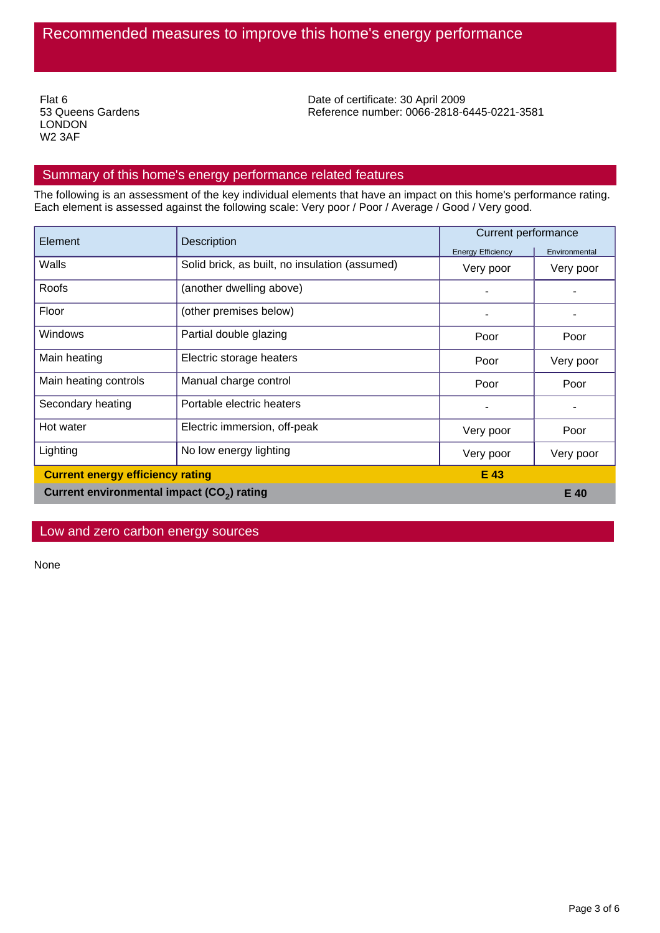Flat 6 53 Queens Gardens LONDON W2 3AF

Date of certificate: 30 April 2009 Reference number: 0066-2818-6445-0221-3581

## Summary of this home's energy performance related features

The following is an assessment of the key individual elements that have an impact on this home's performance rating. Each element is assessed against the following scale: Very poor / Poor / Average / Good / Very good.

| Element                                                | Description                                    | Current performance      |               |
|--------------------------------------------------------|------------------------------------------------|--------------------------|---------------|
|                                                        |                                                | <b>Energy Efficiency</b> | Environmental |
| Walls                                                  | Solid brick, as built, no insulation (assumed) | Very poor                | Very poor     |
| Roofs                                                  | (another dwelling above)                       |                          |               |
| Floor                                                  | (other premises below)                         |                          |               |
| <b>Windows</b>                                         | Partial double glazing                         | Poor                     | Poor          |
| Main heating                                           | Electric storage heaters                       | Poor                     | Very poor     |
| Main heating controls                                  | Manual charge control                          | Poor                     | Poor          |
| Secondary heating                                      | Portable electric heaters                      |                          |               |
| Hot water                                              | Electric immersion, off-peak                   | Very poor                | Poor          |
| Lighting                                               | No low energy lighting                         | Very poor                | Very poor     |
| <b>Current energy efficiency rating</b>                |                                                | E 43                     |               |
| Current environmental impact (CO <sub>2</sub> ) rating |                                                |                          | E 40          |

## Low and zero carbon energy sources

None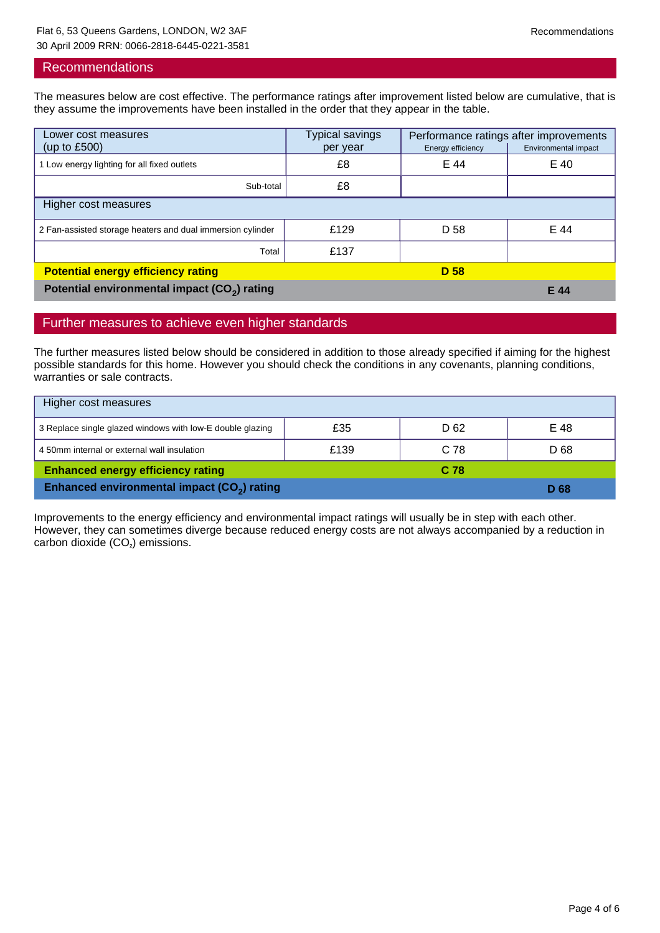## Recommendations

The measures below are cost effective. The performance ratings after improvement listed below are cumulative, that is they assume the improvements have been installed in the order that they appear in the table.

| Lower cost measures<br>(up to $£500$ )                     | <b>Typical savings</b><br>per year | Performance ratings after improvements<br><b>Environmental impact</b><br>Energy efficiency |      |
|------------------------------------------------------------|------------------------------------|--------------------------------------------------------------------------------------------|------|
| 1 Low energy lighting for all fixed outlets                | £8                                 | E 44                                                                                       | E 40 |
| Sub-total                                                  | £8                                 |                                                                                            |      |
| Higher cost measures                                       |                                    |                                                                                            |      |
| 2 Fan-assisted storage heaters and dual immersion cylinder | £129                               | D 58                                                                                       | E 44 |
| Total                                                      | £137                               |                                                                                            |      |
| <b>Potential energy efficiency rating</b>                  |                                    | D <sub>58</sub>                                                                            |      |
| Potential environmental impact (CO <sub>2</sub> ) rating   |                                    |                                                                                            | E 44 |

## Further measures to achieve even higher standards

The further measures listed below should be considered in addition to those already specified if aiming for the highest possible standards for this home. However you should check the conditions in any covenants, planning conditions, warranties or sale contracts.

| Higher cost measures                                      |      |                 |                 |  |
|-----------------------------------------------------------|------|-----------------|-----------------|--|
| 3 Replace single glazed windows with low-E double glazing | £35  | D 62            | E 48            |  |
| 4 50mm internal or external wall insulation               | £139 | C 78            | D 68            |  |
| <b>Enhanced energy efficiency rating</b>                  |      | C <sub>78</sub> |                 |  |
| Enhanced environmental impact (CO <sub>2</sub> ) rating   |      |                 | D <sub>68</sub> |  |

Improvements to the energy efficiency and environmental impact ratings will usually be in step with each other. However, they can sometimes diverge because reduced energy costs are not always accompanied by a reduction in  $carbon$  dioxide  $(CO<sub>2</sub>)$  emissions.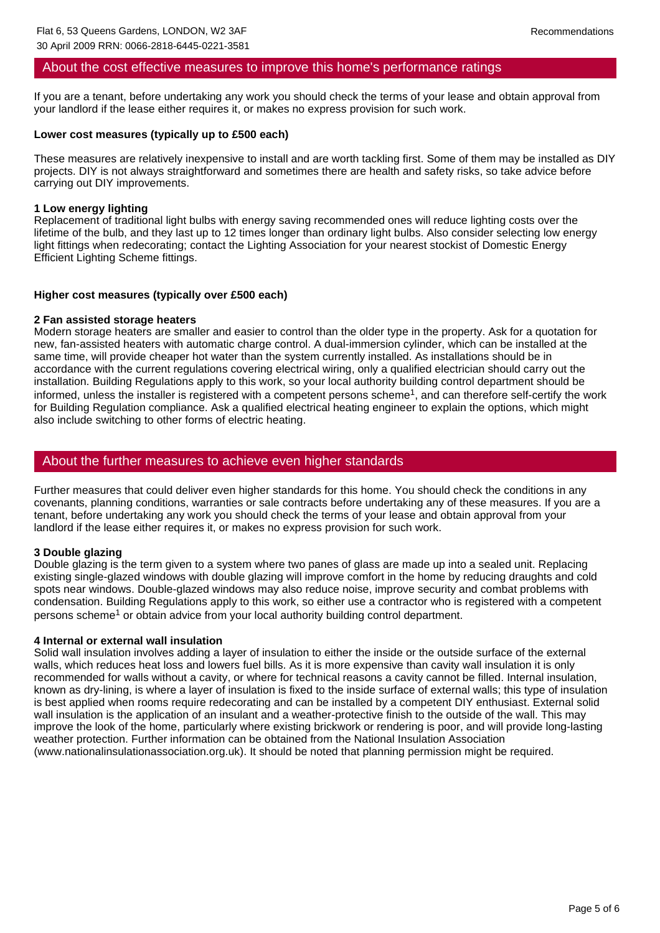## About the cost effective measures to improve this home's performance ratings

If you are a tenant, before undertaking any work you should check the terms of your lease and obtain approval from your landlord if the lease either requires it, or makes no express provision for such work.

#### **Lower cost measures (typically up to £500 each)**

These measures are relatively inexpensive to install and are worth tackling first. Some of them may be installed as DIY projects. DIY is not always straightforward and sometimes there are health and safety risks, so take advice before carrying out DIY improvements.

#### **1 Low energy lighting**

Replacement of traditional light bulbs with energy saving recommended ones will reduce lighting costs over the lifetime of the bulb, and they last up to 12 times longer than ordinary light bulbs. Also consider selecting low energy light fittings when redecorating; contact the Lighting Association for your nearest stockist of Domestic Energy Efficient Lighting Scheme fittings.

#### **Higher cost measures (typically over £500 each)**

#### **2 Fan assisted storage heaters**

Modern storage heaters are smaller and easier to control than the older type in the property. Ask for a quotation for new, fan-assisted heaters with automatic charge control. A dual-immersion cylinder, which can be installed at the same time, will provide cheaper hot water than the system currently installed. As installations should be in accordance with the current regulations covering electrical wiring, only a qualified electrician should carry out the installation. Building Regulations apply to this work, so your local authority building control department should be informed, unless the installer is registered with a competent persons scheme<sup>1</sup>, and can therefore self-certify the work for Building Regulation compliance. Ask a qualified electrical heating engineer to explain the options, which might also include switching to other forms of electric heating.

## About the further measures to achieve even higher standards

Further measures that could deliver even higher standards for this home. You should check the conditions in any covenants, planning conditions, warranties or sale contracts before undertaking any of these measures. If you are a tenant, before undertaking any work you should check the terms of your lease and obtain approval from your landlord if the lease either requires it, or makes no express provision for such work.

#### **3 Double glazing**

Double glazing is the term given to a system where two panes of glass are made up into a sealed unit. Replacing existing single-glazed windows with double glazing will improve comfort in the home by reducing draughts and cold spots near windows. Double-glazed windows may also reduce noise, improve security and combat problems with condensation. Building Regulations apply to this work, so either use a contractor who is registered with a competent persons scheme<sup>1</sup> or obtain advice from your local authority building control department.

#### **4 Internal or external wall insulation**

Solid wall insulation involves adding a layer of insulation to either the inside or the outside surface of the external walls, which reduces heat loss and lowers fuel bills. As it is more expensive than cavity wall insulation it is only recommended for walls without a cavity, or where for technical reasons a cavity cannot be filled. Internal insulation, known as dry-lining, is where a layer of insulation is fixed to the inside surface of external walls; this type of insulation is best applied when rooms require redecorating and can be installed by a competent DIY enthusiast. External solid wall insulation is the application of an insulant and a weather-protective finish to the outside of the wall. This may improve the look of the home, particularly where existing brickwork or rendering is poor, and will provide long-lasting weather protection. Further information can be obtained from the National Insulation Association (www.nationalinsulationassociation.org.uk). It should be noted that planning permission might be required.